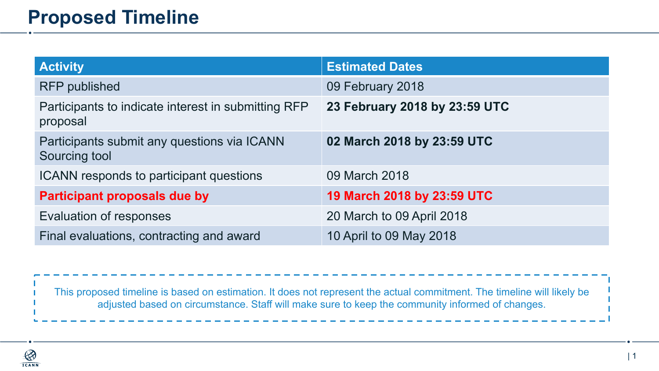## **Proposed Timeline**

| <b>Activity</b>                                                 | <b>Estimated Dates</b>        |
|-----------------------------------------------------------------|-------------------------------|
| <b>RFP</b> published                                            | 09 February 2018              |
| Participants to indicate interest in submitting RFP<br>proposal | 23 February 2018 by 23:59 UTC |
| Participants submit any questions via ICANN<br>Sourcing tool    | 02 March 2018 by 23:59 UTC    |
| ICANN responds to participant questions                         | 09 March 2018                 |
| <b>Participant proposals due by</b>                             | 19 March 2018 by 23:59 UTC    |
| Evaluation of responses                                         | 20 March to 09 April 2018     |
| Final evaluations, contracting and award                        | 10 April to 09 May 2018       |

This proposed timeline is based on estimation. It does not represent the actual commitment. The timeline will likely be adjusted based on circumstance. Staff will make sure to keep the community informed of changes.